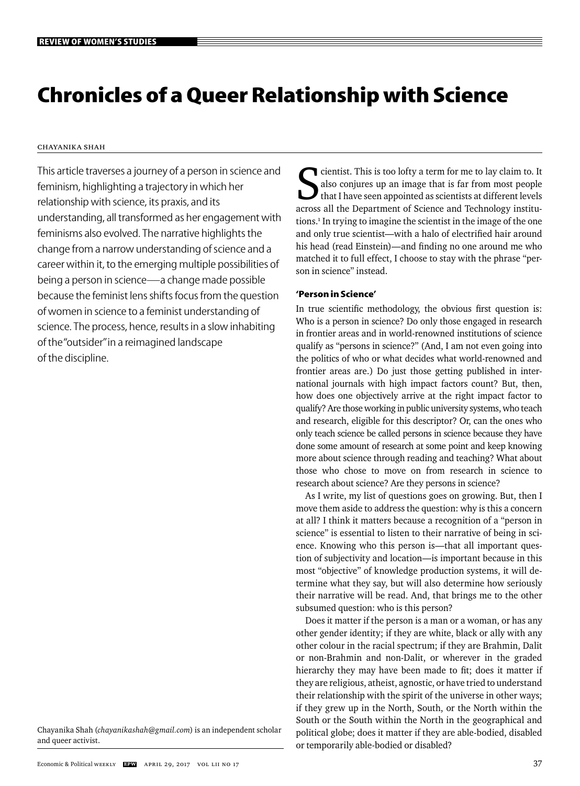# **Chronicles of a Queer Relationship with Science**

# Chayanika Shah

This article traverses a journey of a person in science and feminism, highlighting a trajectory in which her relationship with science, its praxis, and its understanding, all transformed as her engagement with feminisms also evolved. The narrative highlights the change from a narrow understanding of science and a career within it, to the emerging multiple possibilities of being a person in science—a change made possible because the feminist lens shifts focus from the question of women in science to a feminist understanding of science. The process, hence, results in a slow inhabiting of the "outsider" in a reimagined landscape of the discipline.

Chayanika Shah (*chayanikashah@gmail.com*) is an independent scholar and queer activist.

Salso conjures up an image that is far from most people that I have seen appointed as scientists at different levels across all the Department of Science and Technology institucientist. This is too lofty a term for me to lay claim to. It also conjures up an image that is far from most people that I have seen appointed as scientists at different levels tions.<sup>1</sup> In trying to imagine the scientist in the image of the one and only true scientist—with a halo of electrified hair around his head (read Einstein)—and finding no one around me who matched it to full effect, I choose to stay with the phrase "person in science" instead.

## **'Person in Science'**

In true scientific methodology, the obvious first question is: Who is a person in science? Do only those engaged in research in frontier areas and in world-renowned institutions of science qualify as "persons in science?" (And, I am not even going into the politics of who or what decides what world-renowned and frontier areas are.) Do just those getting published in international journals with high impact factors count? But, then, how does one objectively arrive at the right impact factor to qualify? Are those working in public university systems, who teach and research, eligible for this descriptor? Or, can the ones who only teach science be called persons in science because they have done some amount of research at some point and keep knowing more about science through reading and teaching? What about those who chose to move on from research in science to research about science? Are they persons in science?

As I write, my list of questions goes on growing. But, then I move them aside to address the question: why is this a concern at all? I think it matters because a recognition of a "person in science" is essential to listen to their narrative of being in science. Knowing who this person is—that all important question of subjectivity and location—is important because in this most "objective" of knowledge production systems, it will determine what they say, but will also determine how seriously their narrative will be read. And, that brings me to the other subsumed question: who is this person?

Does it matter if the person is a man or a woman, or has any other gender identity; if they are white, black or ally with any other colour in the racial spectrum; if they are Brahmin, Dalit or non-Brahmin and non-Dalit, or wherever in the graded hierarchy they may have been made to fit; does it matter if they are religious, atheist, agnostic, or have tried to understand their relationship with the spirit of the universe in other ways; if they grew up in the North, South, or the North within the South or the South within the North in the geographical and political globe; does it matter if they are able-bodied, disabled or temporarily able-bodied or disabled?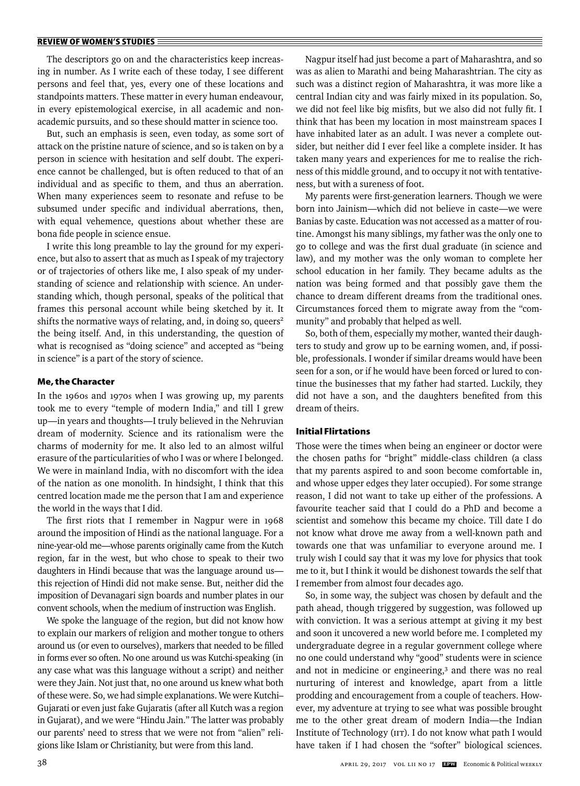The descriptors go on and the characteristics keep increasing in number. As I write each of these today, I see different persons and feel that, yes, every one of these locations and standpoints matters. These matter in every human endeavour, in every epistemological exercise, in all academic and nonacademic pursuits, and so these should matter in science too.

But, such an emphasis is seen, even today, as some sort of attack on the pristine nature of science, and so is taken on by a person in science with hesitation and self doubt. The experience cannot be challenged, but is often reduced to that of an individual and as specific to them, and thus an aberration. When many experiences seem to resonate and refuse to be subsumed under specific and individual aberrations, then, with equal vehemence, questions about whether these are bona fide people in science ensue.

I write this long preamble to lay the ground for my experience, but also to assert that as much as I speak of my trajectory or of trajectories of others like me, I also speak of my understanding of science and relationship with science. An understanding which, though personal, speaks of the political that frames this personal account while being sketched by it. It shifts the normative ways of relating, and, in doing so, queers<sup>2</sup> the being itself. And, in this understanding, the question of what is recognised as "doing science" and accepted as "being in science" is a part of the story of science.

#### **Me, the Character**

In the 1960s and 1970s when I was growing up, my parents took me to every "temple of modern India," and till I grew up—in years and thoughts—I truly believed in the Nehruvian dream of modernity. Science and its rationalism were the charms of modernity for me. It also led to an almost wilful erasure of the particularities of who I was or where I belonged. We were in mainland India, with no discomfort with the idea of the nation as one monolith. In hindsight, I think that this centred location made me the person that I am and experience the world in the ways that I did.

The first riots that I remember in Nagpur were in 1968 around the imposition of Hindi as the national language. For a nine-year-old me—whose parents originally came from the Kutch region, far in the west, but who chose to speak to their two daughters in Hindi because that was the language around us this rejection of Hindi did not make sense. But, neither did the imposition of Devanagari sign boards and number plates in our convent schools, when the medium of instruction was English.

We spoke the language of the region, but did not know how to explain our markers of religion and mother tongue to others around us (or even to ourselves), markers that needed to be filled in forms ever so often. No one around us was Kutchi-speaking (in any case what was this language without a script) and neither were they Jain. Not just that, no one around us knew what both of these were. So, we had simple explanations. We were Kutchi– Gujarati or even just fake Gujaratis (after all Kutch was a region in Gujarat), and we were "Hindu Jain." The latter was probably our parents' need to stress that we were not from "alien" religions like Islam or Christianity, but were from this land.

Nagpur itself had just become a part of Maharashtra, and so was as alien to Marathi and being Maharashtrian. The city as such was a distinct region of Maharashtra, it was more like a central Indian city and was fairly mixed in its population. So, we did not feel like big misfits, but we also did not fully fit. I think that has been my location in most mainstream spaces I have inhabited later as an adult. I was never a complete outsider, but neither did I ever feel like a complete insider. It has taken many years and experiences for me to realise the richness of this middle ground, and to occupy it not with tentativeness, but with a sureness of foot.

My parents were first-generation learners. Though we were born into Jainism—which did not believe in caste—we were Banias by caste. Education was not accessed as a matter of routine. Amongst his many siblings, my father was the only one to go to college and was the first dual graduate (in science and law), and my mother was the only woman to complete her school education in her family. They became adults as the nation was being formed and that possibly gave them the chance to dream different dreams from the traditional ones. Circumstances forced them to migrate away from the "community" and probably that helped as well.

So, both of them, especially my mother, wanted their daughters to study and grow up to be earning women, and, if possible, professionals. I wonder if similar dreams would have been seen for a son, or if he would have been forced or lured to continue the businesses that my father had started. Luckily, they did not have a son, and the daughters benefited from this dream of theirs.

## **Initial Flirtations**

Those were the times when being an engineer or doctor were the chosen paths for "bright" middle-class children (a class that my parents aspired to and soon become comfortable in, and whose upper edges they later occupied). For some strange reason, I did not want to take up either of the professions. A favourite teacher said that I could do a PhD and become a scientist and somehow this became my choice. Till date I do not know what drove me away from a well-known path and towards one that was unfamiliar to everyone around me. I truly wish I could say that it was my love for physics that took me to it, but I think it would be dishonest towards the self that I remember from almost four decades ago.

So, in some way, the subject was chosen by default and the path ahead, though triggered by suggestion, was followed up with conviction. It was a serious attempt at giving it my best and soon it uncovered a new world before me. I completed my undergraduate degree in a regular government college where no one could understand why "good" students were in science and not in medicine or engineering,<sup>3</sup> and there was no real nurturing of interest and knowledge, apart from a little prodding and encouragement from a couple of teachers. However, my adventure at trying to see what was possible brought me to the other great dream of modern India—the Indian Institute of Technology (IIT). I do not know what path I would have taken if I had chosen the "softer" biological sciences.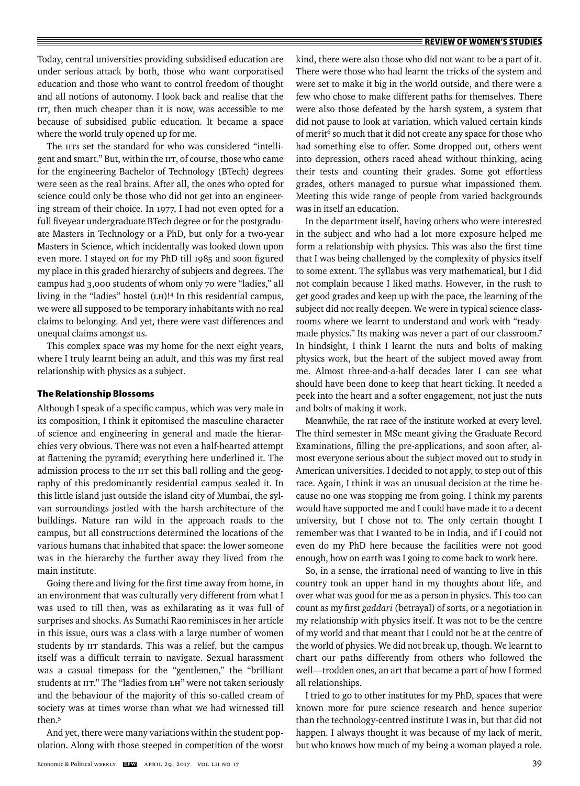Today, central universities providing subsidised education are under serious attack by both, those who want corporatised education and those who want to control freedom of thought and all notions of autonomy. I look back and realise that the IIT, then much cheaper than it is now, was accessible to me because of subsidised public education. It became a space where the world truly opened up for me.

The IITs set the standard for who was considered "intelligent and smart." But, within the IIT, of course, those who came for the engineering Bachelor of Technology (BTech) degrees were seen as the real brains. After all, the ones who opted for science could only be those who did not get into an engineering stream of their choice. In 1977, I had not even opted for a full fiveyear undergraduate BTech degree or for the postgraduate Masters in Technology or a PhD, but only for a two-year Masters in Science, which incidentally was looked down upon even more. I stayed on for my PhD till 1985 and soon figured my place in this graded hierarchy of subjects and degrees. The campus had 3,000 students of whom only 70 were "ladies," all living in the "ladies" hostel (LH)!4 In this residential campus, we were all supposed to be temporary inhabitants with no real claims to belonging. And yet, there were vast differences and unequal claims amongst us.

This complex space was my home for the next eight years, where I truly learnt being an adult, and this was my first real relationship with physics as a subject.

## **The Relationship Blossoms**

Although I speak of a specific campus, which was very male in its composition, I think it epitomised the masculine character of science and engineering in general and made the hierarchies very obvious. There was not even a half-hearted attempt at flattening the pyramid; everything here underlined it. The admission process to the IIT set this ball rolling and the geography of this predominantly residential campus sealed it. In this little island just outside the island city of Mumbai, the sylvan surroundings jostled with the harsh architecture of the buildings. Nature ran wild in the approach roads to the campus, but all constructions determined the locations of the various humans that inhabited that space: the lower someone was in the hierarchy the further away they lived from the main institute.

Going there and living for the first time away from home, in an environment that was culturally very different from what I was used to till then, was as exhilarating as it was full of surprises and shocks. As Sumathi Rao reminisces in her article in this issue, ours was a class with a large number of women students by IIT standards. This was a relief, but the campus itself was a difficult terrain to navigate. Sexual harassment was a casual timepass for the "gentlemen," the "brilliant students at IIT." The "ladies from LH" were not taken seriously and the behaviour of the majority of this so-called cream of society was at times worse than what we had witnessed till then.5

And yet, there were many variations within the student population. Along with those steeped in competition of the worst kind, there were also those who did not want to be a part of it. There were those who had learnt the tricks of the system and were set to make it big in the world outside, and there were a few who chose to make different paths for themselves. There were also those defeated by the harsh system, a system that did not pause to look at variation, which valued certain kinds of merit<sup>6</sup> so much that it did not create any space for those who had something else to offer. Some dropped out, others went into depression, others raced ahead without thinking, acing their tests and counting their grades. Some got effortless grades, others managed to pursue what impassioned them. Meeting this wide range of people from varied backgrounds was in itself an education.

In the department itself, having others who were interested in the subject and who had a lot more exposure helped me form a relationship with physics. This was also the first time that I was being challenged by the complexity of physics itself to some extent. The syllabus was very mathematical, but I did not complain because I liked maths. However, in the rush to get good grades and keep up with the pace, the learning of the subject did not really deepen. We were in typical science classrooms where we learnt to understand and work with "readymade physics." Its making was never a part of our classroom.7 In hindsight, I think I learnt the nuts and bolts of making phy sics work, but the heart of the subject moved away from me. Almost three-and-a-half decades later I can see what should have been done to keep that heart ticking. It needed a peek into the heart and a softer engagement, not just the nuts and bolts of making it work.

Meanwhile, the rat race of the institute worked at every level. The third semester in MSc meant giving the Graduate Record Examinations, filling the pre-applications, and soon after, almost everyone serious about the subject moved out to study in American universities. I decided to not apply, to step out of this race. Again, I think it was an unusual decision at the time because no one was stopping me from going. I think my parents would have supported me and I could have made it to a decent university, but I chose not to. The only certain thought I remember was that I wanted to be in India, and if I could not even do my PhD here because the facilities were not good enough, how on earth was I going to come back to work here.

So, in a sense, the irrational need of wanting to live in this country took an upper hand in my thoughts about life, and over what was good for me as a person in physics. This too can count as my first *gaddari* (betrayal) of sorts, or a negotiation in my relationship with physics itself. It was not to be the centre of my world and that meant that I could not be at the centre of the world of physics. We did not break up, though. We learnt to chart our paths differently from others who followed the well—trodden ones, an art that became a part of how I formed all relationships.

I tried to go to other institutes for my PhD, spaces that were known more for pure science research and hence superior than the technology-centred institute I was in, but that did not happen. I always thought it was because of my lack of merit, but who knows how much of my being a woman played a role.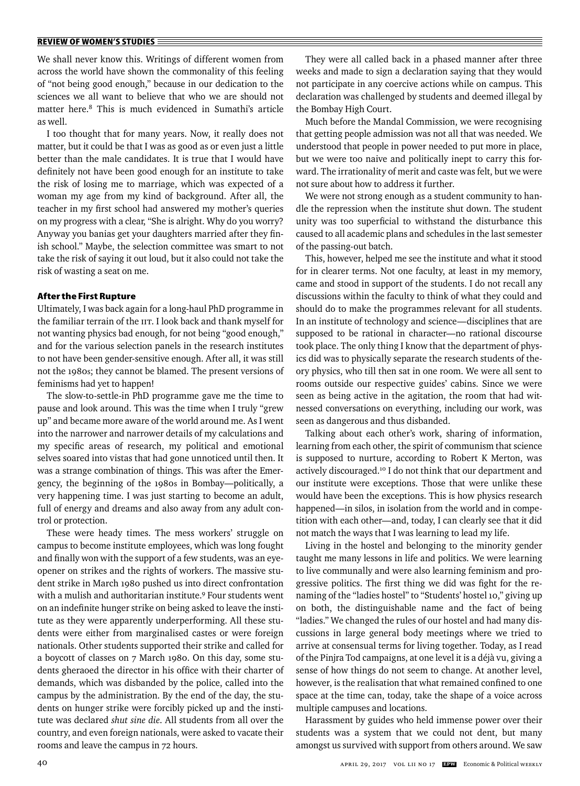We shall never know this. Writings of different women from across the world have shown the commonality of this feeling of "not being good enough," because in our dedication to the sciences we all want to believe that who we are should not matter here.8 This is much evidenced in Sumathi's article as well.

I too thought that for many years. Now, it really does not matter, but it could be that I was as good as or even just a little better than the male candidates. It is true that I would have definitely not have been good enough for an institute to take the risk of losing me to marriage, which was expected of a woman my age from my kind of background. After all, the teacher in my first school had answered my mother's queries on my progress with a clear, "She is alright. Why do you worry? Anyway you banias get your daughters married after they finish school." Maybe, the selection committee was smart to not take the risk of saying it out loud, but it also could not take the risk of wasting a seat on me.

## **After the First Rupture**

Ultimately, I was back again for a long-haul PhD programme in the familiar terrain of the IIT. I look back and thank myself for not wanting physics bad enough, for not being "good enough," and for the various selection panels in the research institutes to not have been gender-sensitive enough. After all, it was still not the 1980s; they cannot be blamed. The present versions of feminisms had yet to happen!

The slow-to-settle-in PhD programme gave me the time to pause and look around. This was the time when I truly "grew up" and became more aware of the world around me. As I went into the narrower and narrower details of my calculations and my specific areas of research, my political and emotional selves soared into vistas that had gone unnoticed until then. It was a strange combination of things. This was after the Emergency, the beginning of the 1980s in Bombay—politically, a very happening time. I was just starting to become an adult, full of energy and dreams and also away from any adult control or protection.

These were heady times. The mess workers' struggle on campus to become institute employees, which was long fought and finally won with the support of a few students, was an eyeopener on strikes and the rights of workers. The massive student strike in March 1980 pushed us into direct confrontation with a mulish and authoritarian institute.9 Four students went on an indefinite hunger strike on being asked to leave the institute as they were apparently underperforming. All these students were either from marginalised castes or were foreign nationals. Other students supported their strike and called for a boycott of classes on 7 March 1980. On this day, some students gheraoed the director in his office with their charter of demands, which was disbanded by the police, called into the campus by the administration. By the end of the day, the students on hunger strike were forcibly picked up and the institute was declared *shut sine die*. All students from all over the country, and even foreign nationals, were asked to vacate their rooms and leave the campus in 72 hours.

They were all called back in a phased manner after three weeks and made to sign a declaration saying that they would not participate in any coercive actions while on campus. This declaration was challenged by students and deemed illegal by the Bombay High Court.

Much before the Mandal Commission, we were recognising that getting people admission was not all that was needed. We understood that people in power needed to put more in place, but we were too naive and politically inept to carry this forward. The irrationality of merit and caste was felt, but we were not sure about how to address it further.

We were not strong enough as a student community to handle the repression when the institute shut down. The student unity was too superficial to withstand the disturbance this caused to all academic plans and schedules in the last semester of the passing-out batch.

This, however, helped me see the institute and what it stood for in clearer terms. Not one faculty, at least in my memory, came and stood in support of the students. I do not recall any discussions within the faculty to think of what they could and should do to make the programmes relevant for all students. In an institute of technology and science—disciplines that are supposed to be rational in character—no rational discourse took place. The only thing I know that the department of physics did was to physically separate the research students of theory physics, who till then sat in one room. We were all sent to rooms outside our respective guides' cabins. Since we were seen as being active in the agitation, the room that had witnessed conversations on everything, including our work, was seen as dangerous and thus disbanded.

Talking about each other's work, sharing of information, learning from each other, the spirit of communism that science is supposed to nurture, according to Robert K Merton, was actively discouraged.10 I do not think that our department and our institute were exceptions. Those that were unlike these would have been the exceptions. This is how physics research happened—in silos, in isolation from the world and in competition with each other—and, today, I can clearly see that it did not match the ways that I was learning to lead my life.

Living in the hostel and belonging to the minority gender taught me many lessons in life and politics. We were learning to live communally and were also learning feminism and progressive politics. The first thing we did was fight for the renaming of the "ladies hostel" to "Students' hostel 10," giving up on both, the distinguishable name and the fact of being "ladies." We changed the rules of our hostel and had many discussions in large general body meetings where we tried to arrive at consensual terms for living together. Today, as I read of the Pinjra Tod campaigns, at one level it is a déjà vu, giving a sense of how things do not seem to change. At another level, however, is the realisation that what remained confined to one space at the time can, today, take the shape of a voice across multiple campuses and locations.

Harassment by guides who held immense power over their students was a system that we could not dent, but many amongst us survived with support from others around. We saw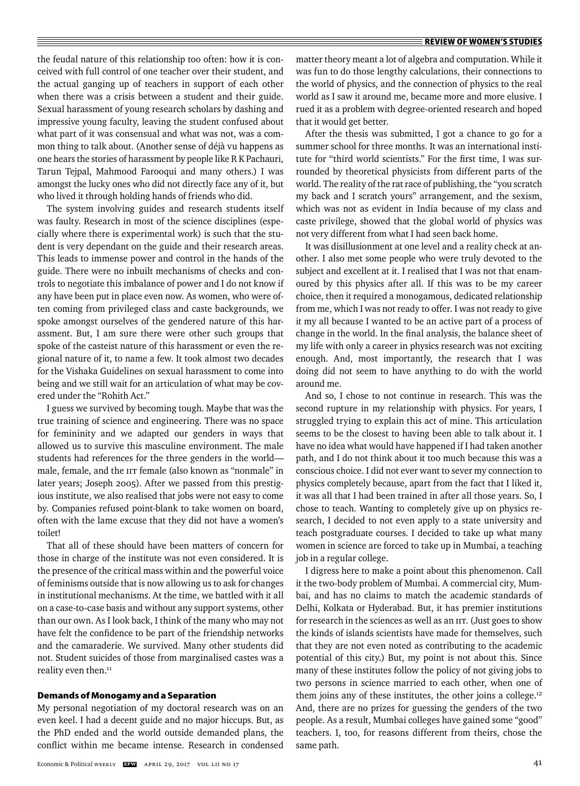the feudal nature of this relationship too often: how it is conceived with full control of one teacher over their student, and the actual ganging up of teachers in support of each other when there was a crisis between a student and their guide. Sexual harassment of young research scholars by dashing and impressive young faculty, leaving the student confused about what part of it was consensual and what was not, was a common thing to talk about. (Another sense of déjà vu happens as one hears the stories of harassment by people like R K Pachauri, Tarun Tejpal, Mahmood Farooqui and many others.) I was amongst the lucky ones who did not directly face any of it, but who lived it through holding hands of friends who did.

The system involving guides and research students itself was faulty. Research in most of the science disciplines (especially where there is experimental work) is such that the student is very dependant on the guide and their research areas. This leads to immense power and control in the hands of the guide. There were no inbuilt mechanisms of checks and controls to negotiate this imbalance of power and I do not know if any have been put in place even now. As women, who were often coming from privileged class and caste backgrounds, we spoke amongst ourselves of the gendered nature of this harassment. But, I am sure there were other such groups that spoke of the casteist nature of this harassment or even the regional nature of it, to name a few. It took almost two decades for the Vishaka Guidelines on sexual harassment to come into being and we still wait for an articulation of what may be covered under the "Rohith Act."

I guess we survived by becoming tough. Maybe that was the true training of science and engineering. There was no space for femininity and we adapted our genders in ways that allowed us to survive this masculine environment. The male students had references for the three genders in the world male, female, and the IIT female (also known as "nonmale" in later years; Joseph 2005). After we passed from this prestigious institute, we also realised that jobs were not easy to come by. Companies refused point-blank to take women on board, often with the lame excuse that they did not have a women's toilet!

That all of these should have been matters of concern for those in charge of the institute was not even considered. It is the presence of the critical mass within and the powerful voice of feminisms outside that is now allowing us to ask for changes in institutional mechanisms. At the time, we battled with it all on a case-to-case basis and without any support systems, other than our own. As I look back, I think of the many who may not have felt the confidence to be part of the friendship networks and the camaraderie. We survived. Many other students did not. Student suicides of those from marginalised castes was a reality even then.<sup>11</sup>

#### **Demands of Monogamy and a Separation**

My personal negotiation of my doctoral research was on an even keel. I had a decent guide and no major hiccups. But, as the PhD ended and the world outside demanded plans, the conflict within me became intense. Research in condensed

Economic & Political Weekly **EPW** APRIL 29, 2017 vol liI no 17 41

matter theory meant a lot of algebra and computation. While it was fun to do those lengthy calculations, their connections to the world of physics, and the connection of physics to the real world as I saw it around me, became more and more elusive. I rued it as a problem with degree-oriented research and hoped that it would get better.

After the thesis was submitted, I got a chance to go for a summer school for three months. It was an international institute for "third world scientists." For the first time, I was surrounded by theoretical physicists from different parts of the world. The reality of the rat race of publishing, the "you scratch my back and I scratch yours" arrangement, and the sexism, which was not as evident in India because of my class and caste privilege, showed that the global world of physics was not very different from what I had seen back home.

It was disillusionment at one level and a reality check at another. I also met some people who were truly devoted to the subject and excellent at it. I realised that I was not that enamoured by this physics after all. If this was to be my career choice, then it required a monogamous, dedicated relationship from me, which I was not ready to offer. I was not ready to give it my all because I wanted to be an active part of a process of change in the world. In the final analysis, the balance sheet of my life with only a career in physics research was not exciting enough. And, most importantly, the research that I was doing did not seem to have anything to do with the world around me.

And so, I chose to not continue in research. This was the second rupture in my relationship with physics. For years, I struggled trying to explain this act of mine. This articulation seems to be the closest to having been able to talk about it. I have no idea what would have happened if I had taken another path, and I do not think about it too much because this was a conscious choice. I did not ever want to sever my connection to physics completely because, apart from the fact that I liked it, it was all that I had been trained in after all those years. So, I chose to teach. Wanting to completely give up on physics research, I decided to not even apply to a state university and teach postgraduate courses. I decided to take up what many women in science are forced to take up in Mumbai, a teaching job in a regular college.

I digress here to make a point about this phenomenon. Call it the two-body problem of Mumbai. A commercial city, Mumbai, and has no claims to match the academic standards of Delhi, Kolkata or Hyderabad. But, it has premier institutions for research in the sciences as well as an IIT. (Just goes to show the kinds of islands scientists have made for themselves, such that they are not even noted as contributing to the academic potential of this city.) But, my point is not about this. Since many of these institutes follow the policy of not giving jobs to two persons in science married to each other, when one of them joins any of these institutes, the other joins a college.12 And, there are no prizes for guessing the genders of the two people. As a result, Mumbai colleges have gained some "good" teachers. I, too, for reasons different from theirs, chose the same path.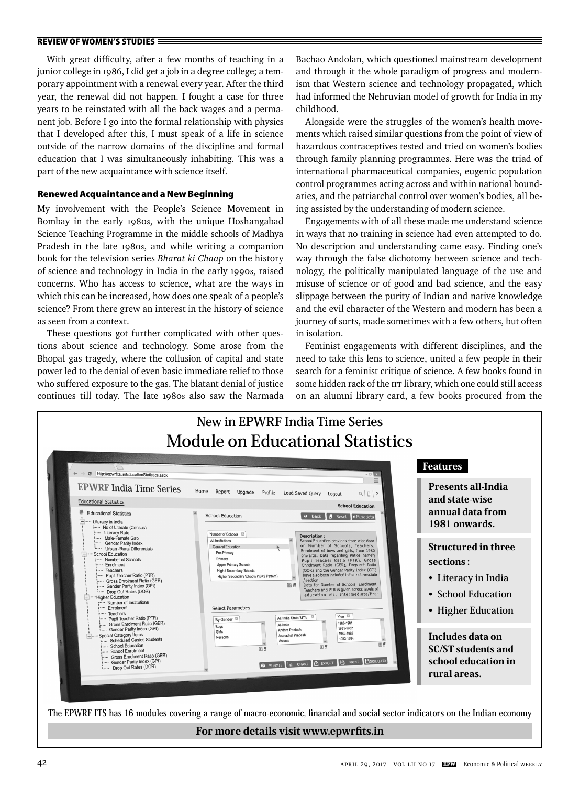With great difficulty, after a few months of teaching in a junior college in 1986, I did get a job in a degree college; a temporary appointment with a renewal every year. After the third year, the renewal did not happen. I fought a case for three years to be reinstated with all the back wages and a permanent job. Before I go into the formal relationship with physics that I developed after this, I must speak of a life in science outside of the narrow domains of the discipline and formal education that I was simultaneously inhabiting. This was a part of the new acquaintance with science itself.

## **Renewed Acquaintance and a New Beginning**

My involvement with the People's Science Movement in Bombay in the early 1980s, with the unique Hoshangabad Science Teaching Programme in the middle schools of Madhya Pradesh in the late 1980s, and while writing a companion book for the television series *Bharat ki Chaap* on the history of science and technology in India in the early 1990s, raised concerns. Who has access to science, what are the ways in which this can be increased, how does one speak of a people's science? From there grew an interest in the history of science as seen from a context.

These questions got further complicated with other questions about science and technology. Some arose from the Bhopal gas tragedy, where the collusion of capital and state power led to the denial of even basic immediate relief to those who suffered exposure to the gas. The blatant denial of justice continues till today. The late 1980s also saw the Narmada Bachao Andolan, which questioned mainstream development and through it the whole paradigm of progress and modernism that Western science and technology propagated, which had informed the Nehruvian model of growth for India in my childhood.

Alongside were the struggles of the women's health movements which raised similar questions from the point of view of hazardous contraceptives tested and tried on women's bodies through family planning programmes. Here was the triad of international pharmaceutical companies, eugenic population control programmes acting across and within national boundaries, and the patriarchal control over women's bodies, all being assisted by the understanding of modern science.

Engagements with of all these made me understand science in ways that no training in science had even attempted to do. No description and understanding came easy. Finding one's way through the false dichotomy between science and technology, the politically manipulated language of the use and misuse of science or of good and bad science, and the easy slippage between the purity of Indian and native knowledge and the evil character of the Western and modern has been a journey of sorts, made sometimes with a few others, but often in isolation.

Feminist engagements with different disciplines, and the need to take this lens to science, united a few people in their search for a feminist critique of science. A few books found in some hidden rack of the IIT library, which one could still access on an alumni library card, a few books procured from the

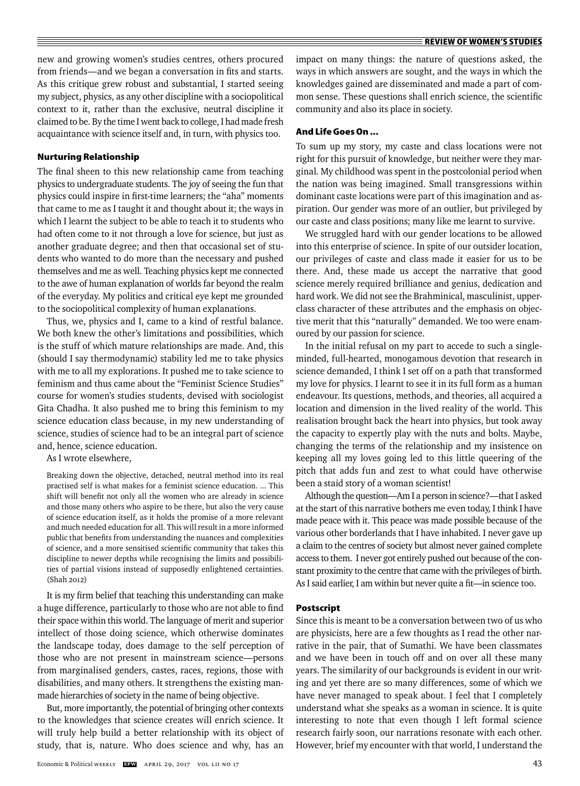new and growing women's studies centres, others procured from friends—and we began a conversation in fits and starts. As this critique grew robust and substantial, I started seeing my subject, physics, as any other discipline with a sociopolitical context to it, rather than the exclusive, neutral discipline it claimed to be. By the time I went back to college, I had made fresh acquaintance with science itself and, in turn, with physics too.

## **Nurturing Relationship**

The final sheen to this new relationship came from teaching physics to undergraduate students. The joy of seeing the fun that physics could inspire in first-time learners; the "aha" moments that came to me as I taught it and thought about it; the ways in which I learnt the subject to be able to teach it to students who had often come to it not through a love for science, but just as another graduate degree; and then that occasional set of students who wanted to do more than the necessary and pushed themselves and me as well. Teaching physics kept me connected to the awe of human explanation of worlds far beyond the realm of the everyday. My politics and critical eye kept me grounded to the sociopolitical complexity of human explanations.

Thus, we, physics and I, came to a kind of restful balance. We both knew the other's limitations and possibilities, which is the stuff of which mature relationships are made. And, this (should I say thermodynamic) stability led me to take physics with me to all my explorations. It pushed me to take science to feminism and thus came about the "Feminist Science Studies" course for women's studies students, devised with sociologist Gita Chadha. It also pushed me to bring this feminism to my science education class because, in my new understanding of science, studies of science had to be an integral part of science and, hence, science education.

As I wrote elsewhere,

Breaking down the objective, detached, neutral method into its real practised self is what makes for a feminist science education. ... This shift will benefit not only all the women who are already in science and those many others who aspire to be there, but also the very cause of science education itself, as it holds the promise of a more relevant and much needed education for all. This will result in a more informed public that benefits from understanding the nuances and complexities of science, and a more sensitised scientific community that takes this discipline to newer depths while recognising the limits and possibilities of partial visions instead of supposedly enlightened certainties. (Shah 2012)

It is my firm belief that teaching this understanding can make a huge difference, particularly to those who are not able to find their space within this world. The language of merit and superior intellect of those doing science, which otherwise dominates the landscape today, does damage to the self perception of those who are not present in mainstream science—persons from marginalised genders, castes, races, regions, those with disabilities, and many others. It strengthens the existing manmade hierarchies of society in the name of being objective.

But, more importantly, the potential of bringing other contexts to the knowledges that science creates will enrich science. It will truly help build a better relationship with its object of study, that is, nature. Who does science and why, has an impact on many things: the nature of questions asked, the ways in which answers are sought, and the ways in which the knowledges gained are disseminated and made a part of common sense. These questions shall enrich science, the scientific community and also its place in society.

## **And Life Goes On ...**

To sum up my story, my caste and class locations were not right for this pursuit of knowledge, but neither were they marginal. My childhood was spent in the postcolonial period when the nation was being imagined. Small transgressions within dominant caste locations were part of this imagination and aspiration. Our gender was more of an outlier, but privileged by our caste and class positions; many like me learnt to survive.

We struggled hard with our gender locations to be allowed into this enterprise of science. In spite of our outsider location, our privileges of caste and class made it easier for us to be there. And, these made us accept the narrative that good science merely required brilliance and genius, dedication and hard work. We did not see the Brahminical, masculinist, upperclass character of these attributes and the emphasis on objective merit that this "naturally" demanded. We too were enamoured by our passion for science.

In the initial refusal on my part to accede to such a singleminded, full-hearted, monogamous devotion that research in science demanded, I think I set off on a path that transformed my love for physics. I learnt to see it in its full form as a human endeavour. Its questions, methods, and theories, all acquired a location and dimension in the lived reality of the world. This realisation brought back the heart into physics, but took away the capacity to expertly play with the nuts and bolts. Maybe, changing the terms of the relationship and my insistence on keeping all my loves going led to this little queering of the pitch that adds fun and zest to what could have otherwise been a staid story of a woman scientist!

Although the question—Am I a person in science?—that I asked at the start of this narrative bothers me even today, I think I have made peace with it. This peace was made possible because of the various other borderlands that I have inhabited. I never gave up a claim to the centres of society but almost never gained complete access to them. I never got entirely pushed out because of the constant proximity to the centre that came with the privileges of birth. As I said earlier, I am within but never quite a fit—in science too.

## **Postscript**

Since this is meant to be a conversation between two of us who are physicists, here are a few thoughts as I read the other narrative in the pair, that of Sumathi. We have been classmates and we have been in touch off and on over all these many years. The similarity of our backgrounds is evident in our writing and yet there are so many differences, some of which we have never managed to speak about. I feel that I completely understand what she speaks as a woman in science. It is quite interesting to note that even though I left formal science research fairly soon, our narrations resonate with each other. However, brief my encounter with that world, I understand the